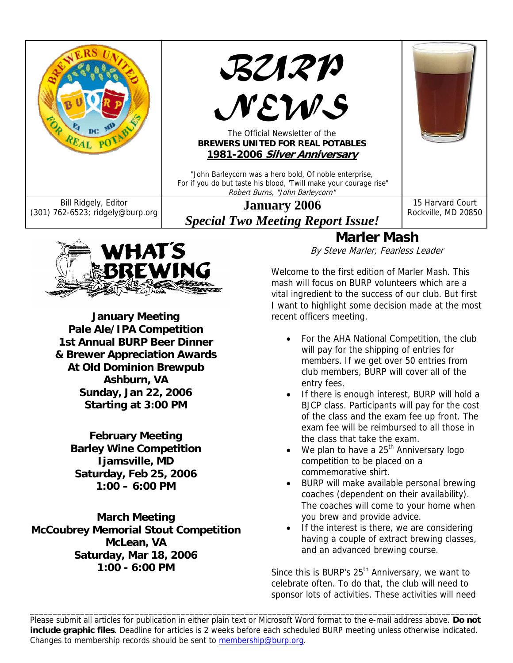



**January Meeting Pale Ale/IPA Competition 1st Annual BURP Beer Dinner & Brewer Appreciation Awards At Old Dominion Brewpub Ashburn, VA Sunday, Jan 22, 2006 Starting at 3:00 PM** 

**February Meeting Barley Wine Competition Ijamsville, MD Saturday, Feb 25, 2006 1:00 – 6:00 PM** 

**March Meeting McCoubrey Memorial Stout Competition McLean, VA Saturday, Mar 18, 2006 1:00 - 6:00 PM** 

**Marler Mash** 

By Steve Marler, Fearless Leader

Welcome to the first edition of Marler Mash. This mash will focus on BURP volunteers which are a vital ingredient to the success of our club. But first I want to highlight some decision made at the most recent officers meeting.

- For the AHA National Competition, the club will pay for the shipping of entries for members. If we get over 50 entries from club members, BURP will cover all of the entry fees.
- If there is enough interest, BURP will hold a BJCP class. Participants will pay for the cost of the class and the exam fee up front. The exam fee will be reimbursed to all those in the class that take the exam.
- We plan to have a  $25<sup>th</sup>$  Anniversary logo competition to be placed on a commemorative shirt.
- BURP will make available personal brewing coaches (dependent on their availability). The coaches will come to your home when you brew and provide advice.
- If the interest is there, we are considering having a couple of extract brewing classes, and an advanced brewing course.

Since this is BURP's 25<sup>th</sup> Anniversary, we want to celebrate often. To do that, the club will need to sponsor lots of activities. These activities will need

Please submit all articles for publication in either plain text or Microsoft Word format to the e-mail address above. **Do not include graphic files**. Deadline for articles is 2 weeks before each scheduled BURP meeting unless otherwise indicated. Changes to membership records should be sent to membership@burp.org.

\_\_\_\_\_\_\_\_\_\_\_\_\_\_\_\_\_\_\_\_\_\_\_\_\_\_\_\_\_\_\_\_\_\_\_\_\_\_\_\_\_\_\_\_\_\_\_\_\_\_\_\_\_\_\_\_\_\_\_\_\_\_\_\_\_\_\_\_\_\_\_\_\_\_\_\_\_\_\_\_\_\_\_\_\_\_\_\_\_\_\_\_\_\_\_\_\_\_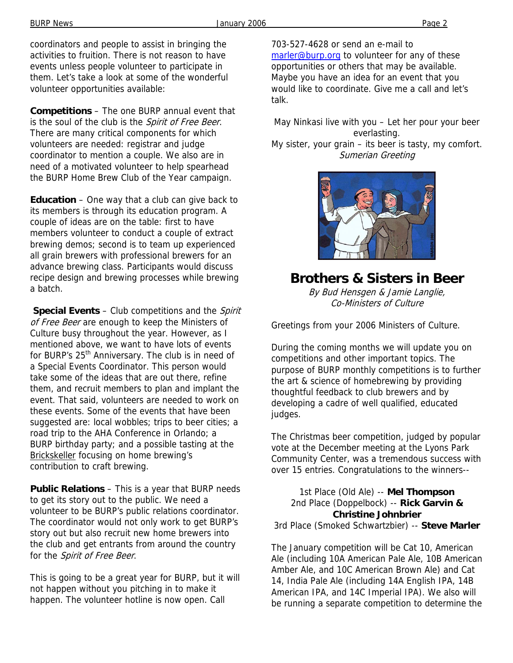coordinators and people to assist in bringing the activities to fruition. There is not reason to have events unless people volunteer to participate in them. Let's take a look at some of the wonderful volunteer opportunities available:

**Competitions** – The one BURP annual event that is the soul of the club is the Spirit of Free Beer. There are many critical components for which volunteers are needed: registrar and judge coordinator to mention a couple. We also are in need of a motivated volunteer to help spearhead the BURP Home Brew Club of the Year campaign.

**Education** – One way that a club can give back to its members is through its education program. A couple of ideas are on the table: first to have members volunteer to conduct a couple of extract brewing demos; second is to team up experienced all grain brewers with professional brewers for an advance brewing class. Participants would discuss recipe design and brewing processes while brewing a batch.

**Special Events** – Club competitions and the *Spirit* of Free Beer are enough to keep the Ministers of Culture busy throughout the year. However, as I mentioned above, we want to have lots of events for BURP's 25<sup>th</sup> Anniversary. The club is in need of a Special Events Coordinator. This person would take some of the ideas that are out there, refine them, and recruit members to plan and implant the event. That said, volunteers are needed to work on these events. Some of the events that have been suggested are: local wobbles; trips to beer cities; a road trip to the AHA Conference in Orlando; a BURP birthday party; and a possible tasting at the **Brickskeller** focusing on home brewing's contribution to craft brewing.

**Public Relations** – This is a year that BURP needs to get its story out to the public. We need a volunteer to be BURP's public relations coordinator. The coordinator would not only work to get BURP's story out but also recruit new home brewers into the club and get entrants from around the country for the Spirit of Free Beer.

This is going to be a great year for BURP, but it will not happen without you pitching in to make it happen. The volunteer hotline is now open. Call

703-527-4628 or send an e-mail to marler@burp.org to volunteer for any of these opportunities or others that may be available. Maybe you have an idea for an event that you would like to coordinate. Give me a call and let's talk.

May Ninkasi live with you – Let her pour your beer everlasting. My sister, your grain – its beer is tasty, my comfort. Sumerian Greeting



## **Brothers & Sisters in Beer**

By Bud Hensgen & Jamie Langlie, Co-Ministers of Culture

Greetings from your 2006 Ministers of Culture.

During the coming months we will update you on competitions and other important topics. The purpose of BURP monthly competitions is to further the art & science of homebrewing by providing thoughtful feedback to club brewers and by developing a cadre of well qualified, educated judges.

The Christmas beer competition, judged by popular vote at the December meeting at the Lyons Park Community Center, was a tremendous success with over 15 entries. Congratulations to the winners--

1st Place (Old Ale) -- **Mel Thompson** 2nd Place (Doppelbock) -- **Rick Garvin & Christine Johnbrier** 3rd Place (Smoked Schwartzbier) -- **Steve Marler** 

The January competition will be Cat 10, American Ale (including 10A American Pale Ale, 10B American Amber Ale, and 10C American Brown Ale) and Cat 14, India Pale Ale (including 14A English IPA, 14B American IPA, and 14C Imperial IPA). We also will be running a separate competition to determine the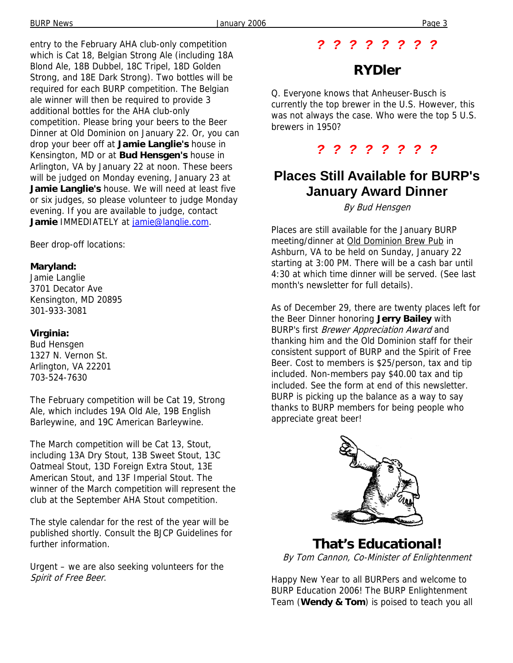entry to the February AHA club-only competition which is Cat 18, Belgian Strong Ale (including 18A Blond Ale, 18B Dubbel, 18C Tripel, 18D Golden Strong, and 18E Dark Strong). Two bottles will be required for each BURP competition. The Belgian ale winner will then be required to provide 3 additional bottles for the AHA club-only competition. Please bring your beers to the Beer Dinner at Old Dominion on January 22. Or, you can drop your beer off at **Jamie Langlie's** house in Kensington, MD or at **Bud Hensgen's** house in Arlington, VA by January 22 at noon. These beers will be judged on Monday evening, January 23 at **Jamie Langlie's** house. We will need at least five or six judges, so please volunteer to judge Monday evening. If you are available to judge, contact **Jamie** IMMEDIATELY at jamie@langlie.com.

Beer drop-off locations:

#### **Maryland:**

Jamie Langlie 3701 Decator Ave Kensington, MD 20895 301-933-3081

#### **Virginia:**

Bud Hensgen 1327 N. Vernon St. Arlington, VA 22201 703-524-7630

The February competition will be Cat 19, Strong Ale, which includes 19A Old Ale, 19B English Barleywine, and 19C American Barleywine.

The March competition will be Cat 13, Stout, including 13A Dry Stout, 13B Sweet Stout, 13C Oatmeal Stout, 13D Foreign Extra Stout, 13E American Stout, and 13F Imperial Stout. The winner of the March competition will represent the club at the September AHA Stout competition.

The style calendar for the rest of the year will be published shortly. Consult the BJCP Guidelines for further information.

Urgent – we are also seeking volunteers for the Spirit of Free Beer.

#### *? ? ? ? ? ? ? ?*

## **RYDler**

Q. Everyone knows that Anheuser-Busch is currently the top brewer in the U.S. However, this was not always the case. Who were the top 5 U.S. brewers in 1950?

*? ? ? ? ? ? ? ?* 

## **Places Still Available for BURP's January Award Dinner**

By Bud Hensgen

Places are still available for the January BURP meeting/dinner at Old Dominion Brew Pub in Ashburn, VA to be held on Sunday, January 22 starting at 3:00 PM. There will be a cash bar until 4:30 at which time dinner will be served. (See last month's newsletter for full details).

As of December 29, there are twenty places left for the Beer Dinner honoring **Jerry Bailey** with BURP's first *Brewer Appreciation Award* and thanking him and the Old Dominion staff for their consistent support of BURP and the Spirit of Free Beer. Cost to members is \$25/person, tax and tip included. Non-members pay \$40.00 tax and tip included. See the form at end of this newsletter. BURP is picking up the balance as a way to say thanks to BURP members for being people who appreciate great beer!



**That's Educational!**  By Tom Cannon, Co-Minister of Enlightenment

Happy New Year to all BURPers and welcome to BURP Education 2006! The BURP Enlightenment Team (**Wendy & Tom**) is poised to teach you all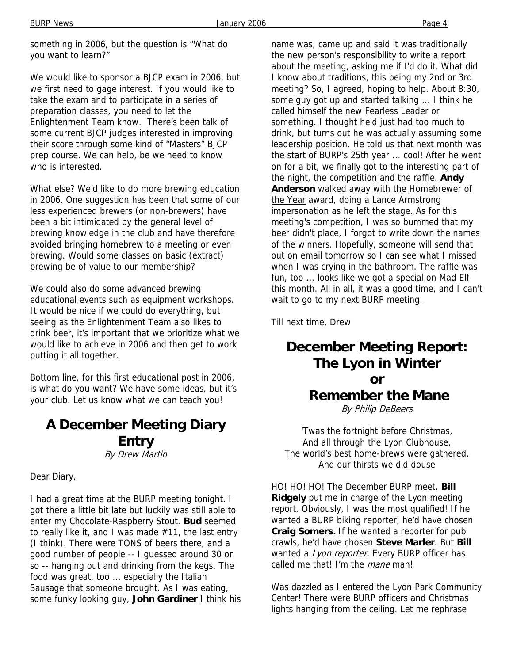something in 2006, but the question is "What do you want to learn?"

We would like to sponsor a BJCP exam in 2006, but we first need to gage interest. If you would like to take the exam and to participate in a series of preparation classes, you need to let the Enlightenment Team know. There's been talk of some current BJCP judges interested in improving their score through some kind of "Masters" BJCP prep course. We can help, be we need to know who is interested.

What else? We'd like to do more brewing education in 2006. One suggestion has been that some of our less experienced brewers (or non-brewers) have been a bit intimidated by the general level of brewing knowledge in the club and have therefore avoided bringing homebrew to a meeting or even brewing. Would some classes on basic (extract) brewing be of value to our membership?

We could also do some advanced brewing educational events such as equipment workshops. It would be nice if we could do everything, but seeing as the Enlightenment Team also likes to drink beer, it's important that we prioritize what we would like to achieve in 2006 and then get to work putting it all together.

Bottom line, for this first educational post in 2006, is what do you want? We have some ideas, but it's your club. Let us know what we can teach you!

#### **A December Meeting Diary Entry**  By Drew Martin

Dear Diary,

I had a great time at the BURP meeting tonight. I got there a little bit late but luckily was still able to enter my Chocolate-Raspberry Stout. **Bud** seemed to really like it, and I was made #11, the last entry (I think). There were TONS of beers there, and a good number of people -- I guessed around 30 or so -- hanging out and drinking from the kegs. The food was great, too ... especially the Italian Sausage that someone brought. As I was eating, some funky looking guy, **John Gardiner** I think his name was, came up and said it was traditionally the new person's responsibility to write a report about the meeting, asking me if I'd do it. What did I know about traditions, this being my 2nd or 3rd meeting? So, I agreed, hoping to help. About 8:30, some guy got up and started talking ... I think he called himself the new Fearless Leader or something. I thought he'd just had too much to drink, but turns out he was actually assuming some leadership position. He told us that next month was the start of BURP's 25th year ... cool! After he went on for a bit, we finally got to the interesting part of the night, the competition and the raffle. **Andy**  Anderson walked away with the **Homebrewer of** the Year award, doing a Lance Armstrong impersonation as he left the stage. As for this meeting's competition, I was so bummed that my beer didn't place, I forgot to write down the names of the winners. Hopefully, someone will send that out on email tomorrow so I can see what I missed when I was crying in the bathroom. The raffle was fun, too ... looks like we got a special on Mad Elf this month. All in all, it was a good time, and I can't wait to go to my next BURP meeting.

Till next time, Drew

# **December Meeting Report: The Lyon in Winter or Remember the Mane**

By Philip DeBeers

'Twas the fortnight before Christmas, And all through the Lyon Clubhouse, The world's best home-brews were gathered, And our thirsts we did douse

HO! HO! HO! The December BURP meet. **Bill Ridgely** put me in charge of the Lyon meeting report. Obviously, I was the most qualified! If he wanted a BURP biking reporter, he'd have chosen **Craig Somers.** If he wanted a reporter for pub crawls, he'd have chosen **Steve Marler**. But **Bill** wanted a Lyon reporter. Every BURP officer has called me that! I'm the *mane* man!

Was dazzled as I entered the Lyon Park Community Center! There were BURP officers and Christmas lights hanging from the ceiling. Let me rephrase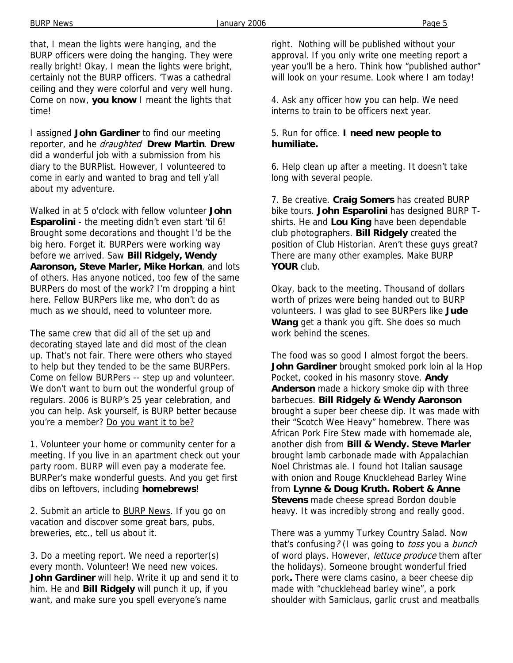that, I mean the lights were hanging, and the BURP officers were doing the hanging. They were really bright! Okay, I mean the lights were bright, certainly not the BURP officers. 'Twas a cathedral ceiling and they were colorful and very well hung. Come on now, **you know** I meant the lights that time!

I assigned **John Gardiner** to find our meeting reporter, and he draughted **Drew Martin**. **Drew** did a wonderful job with a submission from his diary to the BURPlist. However, I volunteered to come in early and wanted to brag and tell y'all about my adventure.

Walked in at 5 o'clock with fellow volunteer **John Esparolini** - the meeting didn't even start 'til 6! Brought some decorations and thought I'd be the big hero. Forget it. BURPers were working way before we arrived. Saw **Bill Ridgely, Wendy Aaronson, Steve Marler, Mike Horkan**, and lots of others. Has anyone noticed, too few of the same BURPers do most of the work? I'm dropping a hint here. Fellow BURPers like me, who don't do as much as we should, need to volunteer more.

The same crew that did all of the set up and decorating stayed late and did most of the clean up. That's not fair. There were others who stayed to help but they tended to be the same BURPers. Come on fellow BURPers -- step up and volunteer. We don't want to burn out the wonderful group of regulars. 2006 is BURP's 25 year celebration, and you can help. Ask yourself, is BURP better because you're a member? Do you want it to be?

1. Volunteer your home or community center for a meeting. If you live in an apartment check out your party room. BURP will even pay a moderate fee. BURPer's make wonderful guests. And you get first dibs on leftovers, including **homebrews**!

2. Submit an article to BURP News. If you go on vacation and discover some great bars, pubs, breweries, etc., tell us about it.

3. Do a meeting report. We need a reporter(s) every month. Volunteer! We need new voices. **John Gardiner** will help. Write it up and send it to him. He and **Bill Ridgely** will punch it up, if you want, and make sure you spell everyone's name

right. Nothing will be published without your approval. If you only write one meeting report a year you'll be a hero. Think how "published author" will look on your resume. Look where I am today!

4. Ask any officer how you can help. We need interns to train to be officers next year.

#### 5. Run for office. **I need new people to humiliate.**

6. Help clean up after a meeting. It doesn't take long with several people.

7. Be creative. **Craig Somers** has created BURP bike tours. **John Esparolini** has designed BURP Tshirts. He and **Lou King** have been dependable club photographers. **Bill Ridgely** created the position of Club Historian. Aren't these guys great? There are many other examples. Make BURP **YOUR** club.

Okay, back to the meeting. Thousand of dollars worth of prizes were being handed out to BURP volunteers. I was glad to see BURPers like **Jude Wang** get a thank you gift. She does so much work behind the scenes.

The food was so good I almost forgot the beers. **John Gardiner** brought smoked pork loin al la Hop Pocket, cooked in his masonry stove. **Andy Anderson** made a hickory smoke dip with three barbecues. **Bill Ridgely & Wendy Aaronson** brought a super beer cheese dip. It was made with their "Scotch Wee Heavy" homebrew. There was African Pork Fire Stew made with homemade ale, another dish from **Bill & Wendy. Steve Marler** brought lamb carbonade made with Appalachian Noel Christmas ale. I found hot Italian sausage with onion and Rouge Knucklehead Barley Wine from **Lynne & Doug Kruth. Robert & Anne Stevens** made cheese spread Bordon double heavy. It was incredibly strong and really good.

There was a yummy Turkey Country Salad. Now that's confusing? (I was going to *toss* you a bunch of word plays. However, lettuce produce them after the holidays). Someone brought wonderful fried pork**.** There were clams casino, a beer cheese dip made with "chucklehead barley wine", a pork shoulder with Samiclaus, garlic crust and meatballs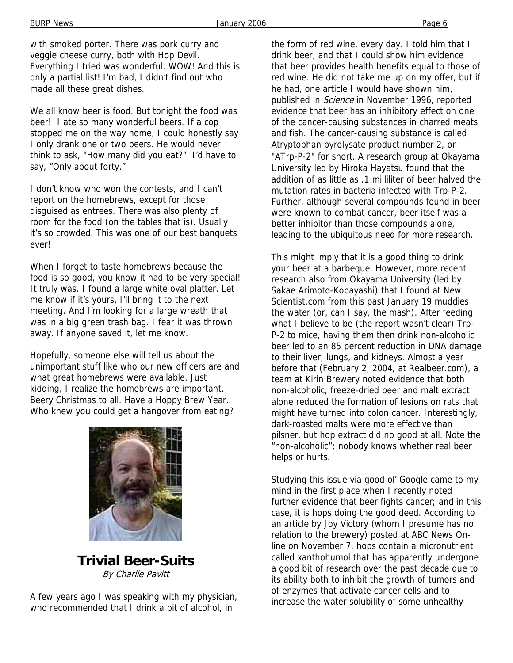BURP News Page 6

with smoked porter. There was pork curry and veggie cheese curry, both with Hop Devil. Everything I tried was wonderful. WOW! And this is only a partial list! I'm bad, I didn't find out who made all these great dishes.

We all know beer is food. But tonight the food was beer! I ate so many wonderful beers. If a cop stopped me on the way home, I could honestly say I only drank one or two beers. He would never think to ask, "How many did you eat?" I'd have to say, "Only about forty."

I don't know who won the contests, and I can't report on the homebrews, except for those disguised as entrees. There was also plenty of room for the food (on the tables that is). Usually it's so crowded. This was one of our best banquets ever!

When I forget to taste homebrews because the food is so good, you know it had to be very special! It truly was. I found a large white oval platter. Let me know if it's yours, I'll bring it to the next meeting. And I'm looking for a large wreath that was in a big green trash bag. I fear it was thrown away. If anyone saved it, let me know.

Hopefully, someone else will tell us about the unimportant stuff like who our new officers are and what great homebrews were available. Just kidding, I realize the homebrews are important. Beery Christmas to all. Have a Hoppy Brew Year. Who knew you could get a hangover from eating?



**Trivial Beer-Suits**  By Charlie Pavitt

A few years ago I was speaking with my physician, who recommended that I drink a bit of alcohol, in

the form of red wine, every day. I told him that I drink beer, and that I could show him evidence that beer provides health benefits equal to those of red wine. He did not take me up on my offer, but if he had, one article I would have shown him, published in Science in November 1996, reported evidence that beer has an inhibitory effect on one of the cancer-causing substances in charred meats and fish. The cancer-causing substance is called Atryptophan pyrolysate product number 2, or "ATrp-P-2" for short. A research group at Okayama University led by Hiroka Hayatsu found that the addition of as little as .1 milliliter of beer halved the mutation rates in bacteria infected with Trp-P-2. Further, although several compounds found in beer were known to combat cancer, beer itself was a better inhibitor than those compounds alone, leading to the ubiquitous need for more research.

This might imply that it is a good thing to drink your beer at a barbeque. However, more recent research also from Okayama University (led by Sakae Arimoto-Kobayashi) that I found at New Scientist.com from this past January 19 muddies the water (or, can I say, the mash). After feeding what I believe to be (the report wasn't clear) Trp-P-2 to mice, having them then drink non-alcoholic beer led to an 85 percent reduction in DNA damage to their liver, lungs, and kidneys. Almost a year before that (February 2, 2004, at Realbeer.com), a team at Kirin Brewery noted evidence that both non-alcoholic, freeze-dried beer and malt extract alone reduced the formation of lesions on rats that might have turned into colon cancer. Interestingly, dark-roasted malts were more effective than pilsner, but hop extract did no good at all. Note the "non-alcoholic"; nobody knows whether real beer helps or hurts.

Studying this issue via good ol' Google came to my mind in the first place when I recently noted further evidence that beer fights cancer; and in this case, it is hops doing the good deed. According to an article by Joy Victory (whom I presume has no relation to the brewery) posted at ABC News Online on November 7, hops contain a micronutrient called xanthohumol that has apparently undergone a good bit of research over the past decade due to its ability both to inhibit the growth of tumors and of enzymes that activate cancer cells and to increase the water solubility of some unhealthy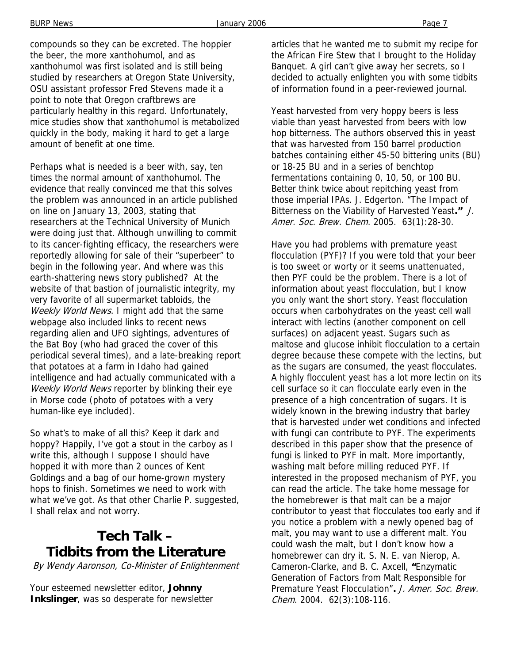compounds so they can be excreted. The hoppier the beer, the more xanthohumol, and as xanthohumol was first isolated and is still being studied by researchers at Oregon State University, OSU assistant professor Fred Stevens made it a point to note that Oregon craftbrews are particularly healthy in this regard. Unfortunately, mice studies show that xanthohumol is metabolized quickly in the body, making it hard to get a large amount of benefit at one time.

Perhaps what is needed is a beer with, say, ten times the normal amount of xanthohumol. The evidence that really convinced me that this solves the problem was announced in an article published on line on January 13, 2003, stating that researchers at the Technical University of Munich were doing just that. Although unwilling to commit to its cancer-fighting efficacy, the researchers were reportedly allowing for sale of their "superbeer" to begin in the following year. And where was this earth-shattering news story published? At the website of that bastion of journalistic integrity, my very favorite of all supermarket tabloids, the Weekly World News. I might add that the same webpage also included links to recent news regarding alien and UFO sightings, adventures of the Bat Boy (who had graced the cover of this periodical several times), and a late-breaking report that potatoes at a farm in Idaho had gained intelligence and had actually communicated with a Weekly World News reporter by blinking their eye in Morse code (photo of potatoes with a very human-like eye included).

So what's to make of all this? Keep it dark and hoppy? Happily, I've got a stout in the carboy as I write this, although I suppose I should have hopped it with more than 2 ounces of Kent Goldings and a bag of our home-grown mystery hops to finish. Sometimes we need to work with what we've got. As that other Charlie P. suggested, I shall relax and not worry.

# **Tech Talk – Tidbits from the Literature**

By Wendy Aaronson, Co-Minister of Enlightenment

Your esteemed newsletter editor, **Johnny Inkslinger**, was so desperate for newsletter articles that he wanted me to submit my recipe for the African Fire Stew that I brought to the Holiday Banquet. A girl can't give away her secrets, so I decided to actually enlighten you with some tidbits of information found in a peer-reviewed journal.

Yeast harvested from very hoppy beers is less viable than yeast harvested from beers with low hop bitterness. The authors observed this in yeast that was harvested from 150 barrel production batches containing either 45-50 bittering units (BU) or 18-25 BU and in a series of benchtop fermentations containing 0, 10, 50, or 100 BU. Better think twice about repitching yeast from those imperial IPAs. J. Edgerton. "The Impact of Bitterness on the Viability of Harvested Yeast**."** J. Amer. Soc. Brew. Chem. 2005. 63(1):28-30.

Have you had problems with premature yeast flocculation (PYF)? If you were told that your beer is too sweet or worty or it seems unattenuated, then PYF could be the problem. There is a lot of information about yeast flocculation, but I know you only want the short story. Yeast flocculation occurs when carbohydrates on the yeast cell wall interact with lectins (another component on cell surfaces) on adjacent yeast. Sugars such as maltose and glucose inhibit flocculation to a certain degree because these compete with the lectins, but as the sugars are consumed, the yeast flocculates. A highly flocculent yeast has a lot more lectin on its cell surface so it can flocculate early even in the presence of a high concentration of sugars. It is widely known in the brewing industry that barley that is harvested under wet conditions and infected with fungi can contribute to PYF. The experiments described in this paper show that the presence of fungi is linked to PYF in malt. More importantly, washing malt before milling reduced PYF. If interested in the proposed mechanism of PYF, you can read the article. The take home message for the homebrewer is that malt can be a major contributor to yeast that flocculates too early and if you notice a problem with a newly opened bag of malt, you may want to use a different malt. You could wash the malt, but I don't know how a homebrewer can dry it. S. N. E. van Nierop, A. Cameron-Clarke, and B. C. Axcell, **"**Enzymatic Generation of Factors from Malt Responsible for Premature Yeast Flocculation"**.** J. Amer. Soc. Brew. Chem. 2004. 62(3):108-116.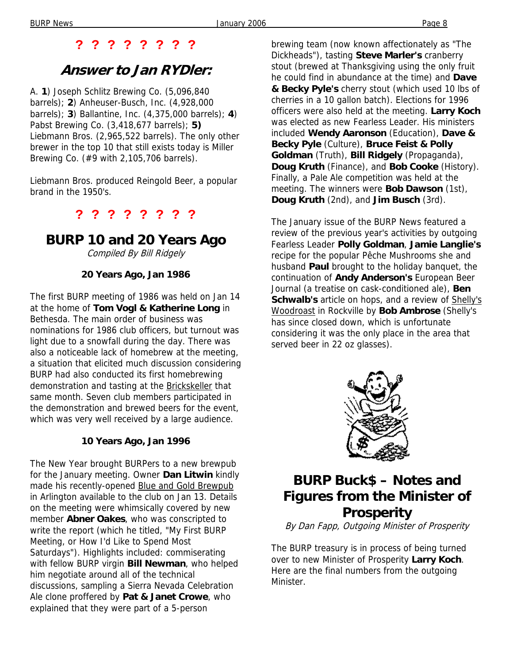## **? ? ? ? ? ? ? ?**

# **Answer to Jan RYDler:**

A. **1**) Joseph Schlitz Brewing Co. (5,096,840 barrels); **2**) Anheuser-Busch, Inc. (4,928,000 barrels); **3**) Ballantine, Inc. (4,375,000 barrels); **4**) Pabst Brewing Co. (3,418,677 barrels); **5)** Liebmann Bros. (2,965,522 barrels). The only other brewer in the top 10 that still exists today is Miller Brewing Co. (#9 with 2,105,706 barrels).

Liebmann Bros. produced Reingold Beer, a popular brand in the 1950's.

## **? ? ? ? ? ? ? ?**

# **BURP 10 and 20 Years Ago**

Compiled By Bill Ridgely

#### **20 Years Ago, Jan 1986**

The first BURP meeting of 1986 was held on Jan 14 at the home of **Tom Vogl & Katherine Long** in Bethesda. The main order of business was nominations for 1986 club officers, but turnout was light due to a snowfall during the day. There was also a noticeable lack of homebrew at the meeting, a situation that elicited much discussion considering BURP had also conducted its first homebrewing demonstration and tasting at the Brickskeller that same month. Seven club members participated in the demonstration and brewed beers for the event, which was very well received by a large audience.

#### **10 Years Ago, Jan 1996**

The New Year brought BURPers to a new brewpub for the January meeting. Owner **Dan Litwin** kindly made his recently-opened Blue and Gold Brewpub in Arlington available to the club on Jan 13. Details on the meeting were whimsically covered by new member **Abner Oakes**, who was conscripted to write the report (which he titled, "My First BURP Meeting, or How I'd Like to Spend Most Saturdays"). Highlights included: commiserating with fellow BURP virgin **Bill Newman**, who helped him negotiate around all of the technical discussions, sampling a Sierra Nevada Celebration Ale clone proffered by **Pat & Janet Crowe**, who explained that they were part of a 5-person

brewing team (now known affectionately as "The Dickheads"), tasting **Steve Marler's** cranberry stout (brewed at Thanksgiving using the only fruit he could find in abundance at the time) and **Dave & Becky Pyle's** cherry stout (which used 10 lbs of cherries in a 10 gallon batch). Elections for 1996 officers were also held at the meeting. **Larry Koch** was elected as new Fearless Leader. His ministers included **Wendy Aaronson** (Education), **Dave & Becky Pyle** (Culture), **Bruce Feist & Polly Goldman** (Truth), **Bill Ridgely** (Propaganda), **Doug Kruth** (Finance), and **Bob Cooke** (History). Finally, a Pale Ale competition was held at the meeting. The winners were **Bob Dawson** (1st), **Doug Kruth** (2nd), and **Jim Busch** (3rd).

The January issue of the BURP News featured a review of the previous year's activities by outgoing Fearless Leader **Polly Goldman**, **Jamie Langlie's** recipe for the popular Pêche Mushrooms she and husband **Paul** brought to the holiday banquet, the continuation of **Andy Anderson's** European Beer Journal (a treatise on cask-conditioned ale), **Ben Schwalb's** article on hops, and a review of Shelly's Woodroast in Rockville by **Bob Ambrose** (Shelly's has since closed down, which is unfortunate considering it was the only place in the area that served beer in 22 oz glasses).



# **BURP Buck\$ – Notes and Figures from the Minister of Prosperity**

By Dan Fapp, Outgoing Minister of Prosperity

The BURP treasury is in process of being turned over to new Minister of Prosperity **Larry Koch**. Here are the final numbers from the outgoing Minister.